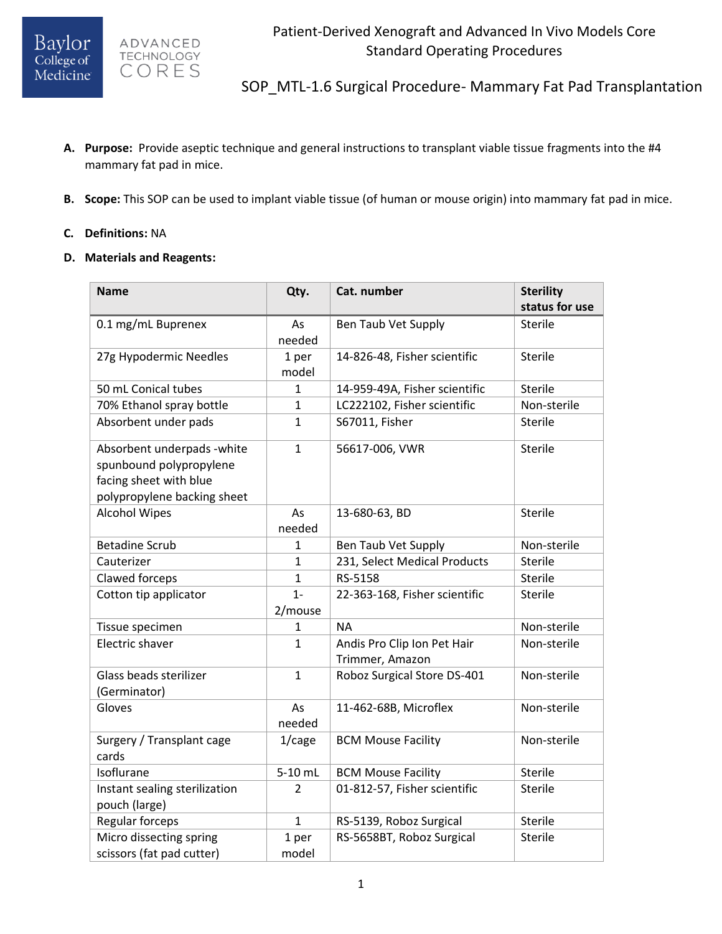



SOP\_MTL-1.6 Surgical Procedure- Mammary Fat Pad Transplantation

- **A. Purpose:** Provide aseptic technique and general instructions to transplant viable tissue fragments into the #4 mammary fat pad in mice.
- **B. Scope:** This SOP can be used to implant viable tissue (of human or mouse origin) into mammary fat pad in mice.
- **C. Definitions:** NA
- **D. Materials and Reagents:**

| <b>Name</b>                   | Qty.           | Cat. number                   | <b>Sterility</b> |
|-------------------------------|----------------|-------------------------------|------------------|
|                               |                |                               | status for use   |
| 0.1 mg/mL Buprenex            | As             | Ben Taub Vet Supply           | <b>Sterile</b>   |
|                               | needed         |                               |                  |
| 27g Hypodermic Needles        | 1 per          | 14-826-48, Fisher scientific  | Sterile          |
|                               | model          |                               |                  |
| 50 mL Conical tubes           | 1              | 14-959-49A, Fisher scientific | <b>Sterile</b>   |
| 70% Ethanol spray bottle      | 1              | LC222102, Fisher scientific   | Non-sterile      |
| Absorbent under pads          | $\mathbf{1}$   | S67011, Fisher                | <b>Sterile</b>   |
| Absorbent underpads - white   | $\mathbf{1}$   | 56617-006, VWR                | <b>Sterile</b>   |
| spunbound polypropylene       |                |                               |                  |
| facing sheet with blue        |                |                               |                  |
| polypropylene backing sheet   |                |                               |                  |
| <b>Alcohol Wipes</b>          | As             | 13-680-63, BD                 | <b>Sterile</b>   |
|                               | needed         |                               |                  |
| <b>Betadine Scrub</b>         | 1              | Ben Taub Vet Supply           | Non-sterile      |
| Cauterizer                    | $\mathbf{1}$   | 231, Select Medical Products  | <b>Sterile</b>   |
| Clawed forceps                | $\overline{1}$ | RS-5158                       | <b>Sterile</b>   |
| Cotton tip applicator         | $1 -$          | 22-363-168, Fisher scientific | <b>Sterile</b>   |
|                               | 2/mouse        |                               |                  |
| Tissue specimen               | 1              | <b>NA</b>                     | Non-sterile      |
| Electric shaver               | $\mathbf{1}$   | Andis Pro Clip Ion Pet Hair   | Non-sterile      |
|                               |                | Trimmer, Amazon               |                  |
| Glass beads sterilizer        | $\mathbf{1}$   | Roboz Surgical Store DS-401   | Non-sterile      |
| (Germinator)                  |                |                               |                  |
| Gloves                        | As             | 11-462-68B, Microflex         | Non-sterile      |
|                               | needed         |                               |                  |
| Surgery / Transplant cage     | $1/c$ age      | <b>BCM Mouse Facility</b>     | Non-sterile      |
| cards                         |                |                               |                  |
| Isoflurane                    | 5-10 mL        | <b>BCM Mouse Facility</b>     | <b>Sterile</b>   |
| Instant sealing sterilization | 2              | 01-812-57, Fisher scientific  | <b>Sterile</b>   |
| pouch (large)                 |                |                               |                  |
| Regular forceps               | $\mathbf{1}$   | RS-5139, Roboz Surgical       | Sterile          |
| Micro dissecting spring       | 1 per          | RS-5658BT, Roboz Surgical     | Sterile          |
| scissors (fat pad cutter)     | model          |                               |                  |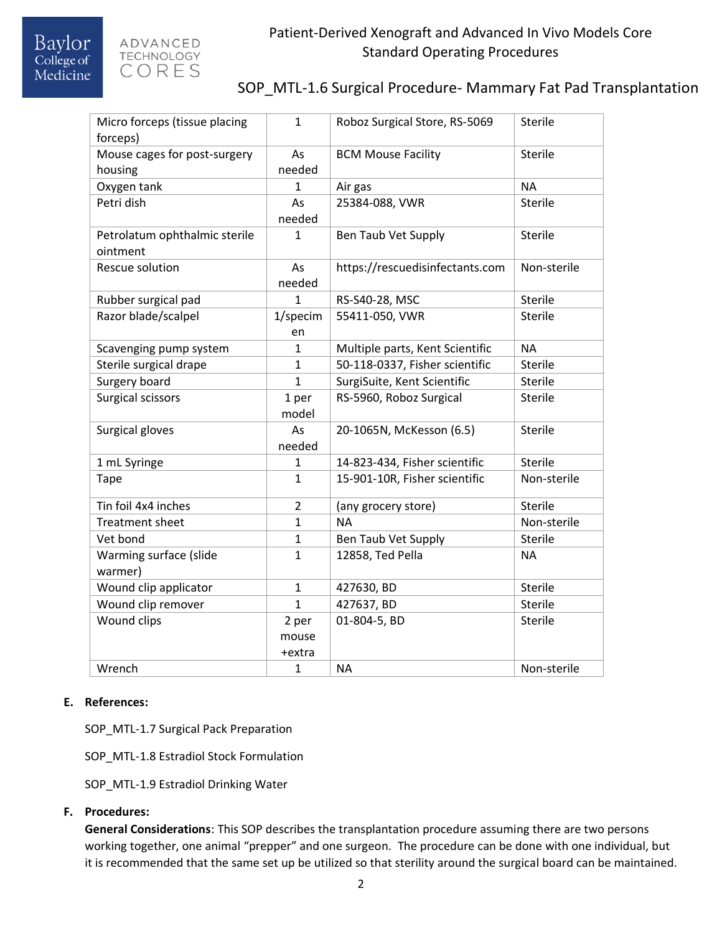

## SOP\_MTL-1.6 Surgical Procedure- Mammary Fat Pad Transplantation

| Micro forceps (tissue placing<br>forceps) | 1              | Roboz Surgical Store, RS-5069   | Sterile        |
|-------------------------------------------|----------------|---------------------------------|----------------|
| Mouse cages for post-surgery              | As             | <b>BCM Mouse Facility</b>       | <b>Sterile</b> |
| housing                                   | needed         |                                 |                |
| Oxygen tank                               | 1              | Air gas                         | <b>NA</b>      |
| Petri dish                                | As             | 25384-088, VWR                  | <b>Sterile</b> |
|                                           | needed         |                                 |                |
| Petrolatum ophthalmic sterile             | $\mathbf{1}$   | Ben Taub Vet Supply             | Sterile        |
| ointment                                  |                |                                 |                |
| <b>Rescue solution</b>                    | As             | https://rescuedisinfectants.com | Non-sterile    |
|                                           | needed         |                                 |                |
| Rubber surgical pad                       | $\mathbf{1}$   | RS-S40-28, MSC                  | <b>Sterile</b> |
| Razor blade/scalpel                       | 1/specim       | 55411-050, VWR                  | <b>Sterile</b> |
|                                           | en             |                                 |                |
| Scavenging pump system                    | $\mathbf{1}$   | Multiple parts, Kent Scientific | <b>NA</b>      |
| Sterile surgical drape                    | $\mathbf{1}$   | 50-118-0337, Fisher scientific  | <b>Sterile</b> |
| Surgery board                             | $\mathbf{1}$   | SurgiSuite, Kent Scientific     | <b>Sterile</b> |
| Surgical scissors                         | 1 per          | RS-5960, Roboz Surgical         | <b>Sterile</b> |
|                                           | model          |                                 |                |
| Surgical gloves                           | As             | 20-1065N, McKesson (6.5)        | Sterile        |
|                                           | needed         |                                 |                |
| 1 mL Syringe                              | 1              | 14-823-434, Fisher scientific   | <b>Sterile</b> |
| <b>Tape</b>                               | $\mathbf{1}$   | 15-901-10R, Fisher scientific   | Non-sterile    |
| Tin foil 4x4 inches                       | $\overline{2}$ | (any grocery store)             | <b>Sterile</b> |
| <b>Treatment sheet</b>                    | $\mathbf{1}$   | <b>NA</b>                       | Non-sterile    |
| Vet bond                                  | $\mathbf{1}$   | Ben Taub Vet Supply             | Sterile        |
| Warming surface (slide                    | $\mathbf{1}$   | 12858, Ted Pella                | NΑ             |
| warmer)                                   |                |                                 |                |
| Wound clip applicator                     | $\mathbf{1}$   | 427630, BD                      | <b>Sterile</b> |
| Wound clip remover                        | $\mathbf{1}$   | 427637, BD                      | <b>Sterile</b> |
| Wound clips                               | 2 per          | 01-804-5, BD<br>Sterile         |                |
|                                           | mouse          |                                 |                |
|                                           | +extra         |                                 |                |
| Wrench                                    | $\mathbf{1}$   | <b>NA</b>                       | Non-sterile    |

#### **E. References:**

SOP\_MTL-1.7 Surgical Pack Preparation

SOP\_MTL-1.8 Estradiol Stock Formulation

SOP\_MTL-1.9 Estradiol Drinking Water

#### **F. Procedures:**

**General Considerations**: This SOP describes the transplantation procedure assuming there are two persons working together, one animal "prepper" and one surgeon. The procedure can be done with one individual, but it is recommended that the same set up be utilized so that sterility around the surgical board can be maintained.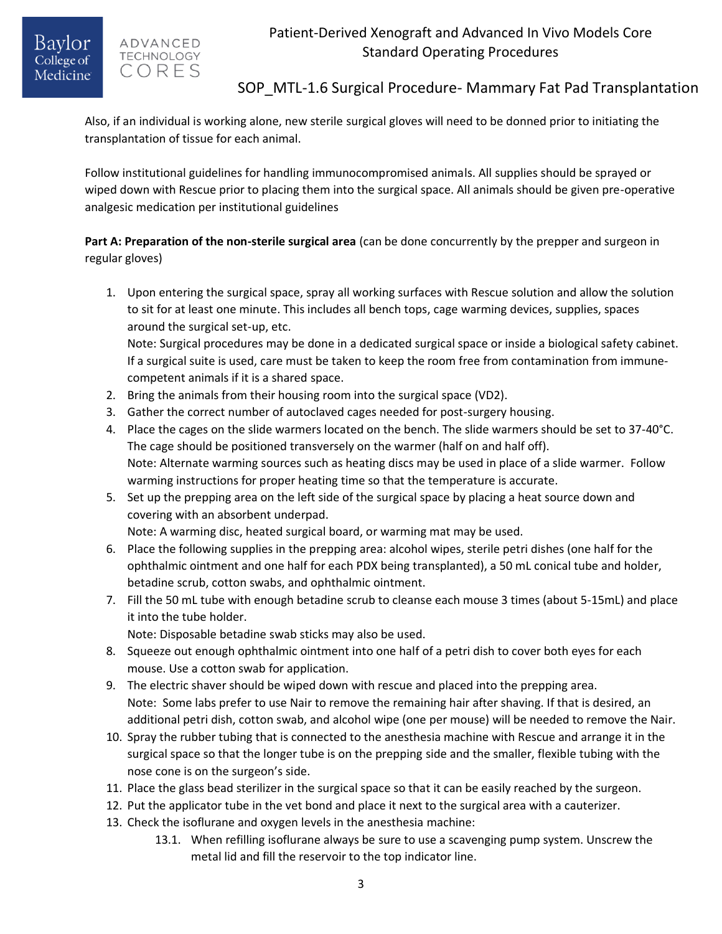### ADVANCED **TECHNOLOGY** CORES

# SOP MTL-1.6 Surgical Procedure- Mammary Fat Pad Transplantation

Also, if an individual is working alone, new sterile surgical gloves will need to be donned prior to initiating the transplantation of tissue for each animal.

Follow institutional guidelines for handling immunocompromised animals. All supplies should be sprayed or wiped down with Rescue prior to placing them into the surgical space. All animals should be given pre-operative analgesic medication per institutional guidelines

**Part A: Preparation of the non-sterile surgical area** (can be done concurrently by the prepper and surgeon in regular gloves)

1. Upon entering the surgical space, spray all working surfaces with Rescue solution and allow the solution to sit for at least one minute. This includes all bench tops, cage warming devices, supplies, spaces around the surgical set-up, etc. Note: Surgical procedures may be done in a dedicated surgical space or inside a biological safety cabinet.

If a surgical suite is used, care must be taken to keep the room free from contamination from immunecompetent animals if it is a shared space.

- 2. Bring the animals from their housing room into the surgical space (VD2).
- 3. Gather the correct number of autoclaved cages needed for post-surgery housing.
- 4. Place the cages on the slide warmers located on the bench. The slide warmers should be set to 37-40°C. The cage should be positioned transversely on the warmer (half on and half off). Note: Alternate warming sources such as heating discs may be used in place of a slide warmer. Follow warming instructions for proper heating time so that the temperature is accurate.
- 5. Set up the prepping area on the left side of the surgical space by placing a heat source down and covering with an absorbent underpad.

Note: A warming disc, heated surgical board, or warming mat may be used.

- 6. Place the following supplies in the prepping area: alcohol wipes, sterile petri dishes (one half for the ophthalmic ointment and one half for each PDX being transplanted), a 50 mL conical tube and holder, betadine scrub, cotton swabs, and ophthalmic ointment.
- 7. Fill the 50 mL tube with enough betadine scrub to cleanse each mouse 3 times (about 5-15mL) and place it into the tube holder.

Note: Disposable betadine swab sticks may also be used.

- 8. Squeeze out enough ophthalmic ointment into one half of a petri dish to cover both eyes for each mouse. Use a cotton swab for application.
- 9. The electric shaver should be wiped down with rescue and placed into the prepping area. Note: Some labs prefer to use Nair to remove the remaining hair after shaving. If that is desired, an additional petri dish, cotton swab, and alcohol wipe (one per mouse) will be needed to remove the Nair.
- 10. Spray the rubber tubing that is connected to the anesthesia machine with Rescue and arrange it in the surgical space so that the longer tube is on the prepping side and the smaller, flexible tubing with the nose cone is on the surgeon's side.
- 11. Place the glass bead sterilizer in the surgical space so that it can be easily reached by the surgeon.
- 12. Put the applicator tube in the vet bond and place it next to the surgical area with a cauterizer.
- 13. Check the isoflurane and oxygen levels in the anesthesia machine:
	- 13.1. When refilling isoflurane always be sure to use a scavenging pump system. Unscrew the metal lid and fill the reservoir to the top indicator line.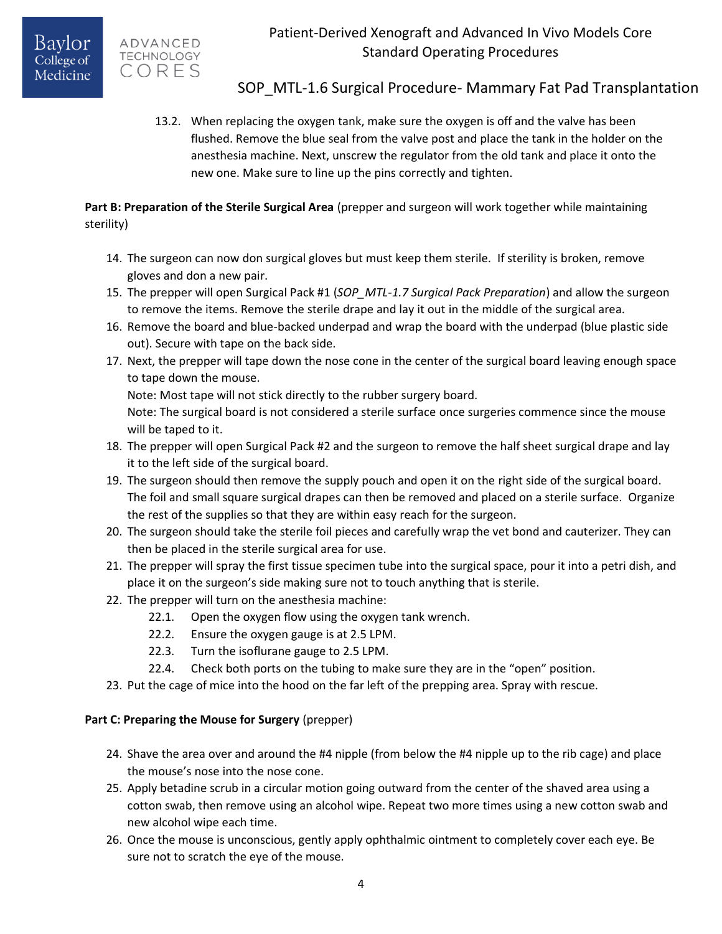

## SOP MTL-1.6 Surgical Procedure- Mammary Fat Pad Transplantation

13.2. When replacing the oxygen tank, make sure the oxygen is off and the valve has been flushed. Remove the blue seal from the valve post and place the tank in the holder on the anesthesia machine. Next, unscrew the regulator from the old tank and place it onto the new one. Make sure to line up the pins correctly and tighten.

**Part B: Preparation of the Sterile Surgical Area** (prepper and surgeon will work together while maintaining sterility)

- 14. The surgeon can now don surgical gloves but must keep them sterile. If sterility is broken, remove gloves and don a new pair.
- 15. The prepper will open Surgical Pack #1 (*SOP\_MTL-1.7 Surgical Pack Preparation*) and allow the surgeon to remove the items. Remove the sterile drape and lay it out in the middle of the surgical area.
- 16. Remove the board and blue-backed underpad and wrap the board with the underpad (blue plastic side out). Secure with tape on the back side.
- 17. Next, the prepper will tape down the nose cone in the center of the surgical board leaving enough space to tape down the mouse.

Note: Most tape will not stick directly to the rubber surgery board.

Note: The surgical board is not considered a sterile surface once surgeries commence since the mouse will be taped to it.

- 18. The prepper will open Surgical Pack #2 and the surgeon to remove the half sheet surgical drape and lay it to the left side of the surgical board.
- 19. The surgeon should then remove the supply pouch and open it on the right side of the surgical board. The foil and small square surgical drapes can then be removed and placed on a sterile surface. Organize the rest of the supplies so that they are within easy reach for the surgeon.
- 20. The surgeon should take the sterile foil pieces and carefully wrap the vet bond and cauterizer. They can then be placed in the sterile surgical area for use.
- 21. The prepper will spray the first tissue specimen tube into the surgical space, pour it into a petri dish, and place it on the surgeon's side making sure not to touch anything that is sterile.
- 22. The prepper will turn on the anesthesia machine:
	- 22.1. Open the oxygen flow using the oxygen tank wrench.
	- 22.2. Ensure the oxygen gauge is at 2.5 LPM.
	- 22.3. Turn the isoflurane gauge to 2.5 LPM.
	- 22.4. Check both ports on the tubing to make sure they are in the "open" position.
- 23. Put the cage of mice into the hood on the far left of the prepping area. Spray with rescue.

### **Part C: Preparing the Mouse for Surgery** (prepper)

- 24. Shave the area over and around the #4 nipple (from below the #4 nipple up to the rib cage) and place the mouse's nose into the nose cone.
- 25. Apply betadine scrub in a circular motion going outward from the center of the shaved area using a cotton swab, then remove using an alcohol wipe. Repeat two more times using a new cotton swab and new alcohol wipe each time.
- 26. Once the mouse is unconscious, gently apply ophthalmic ointment to completely cover each eye. Be sure not to scratch the eye of the mouse.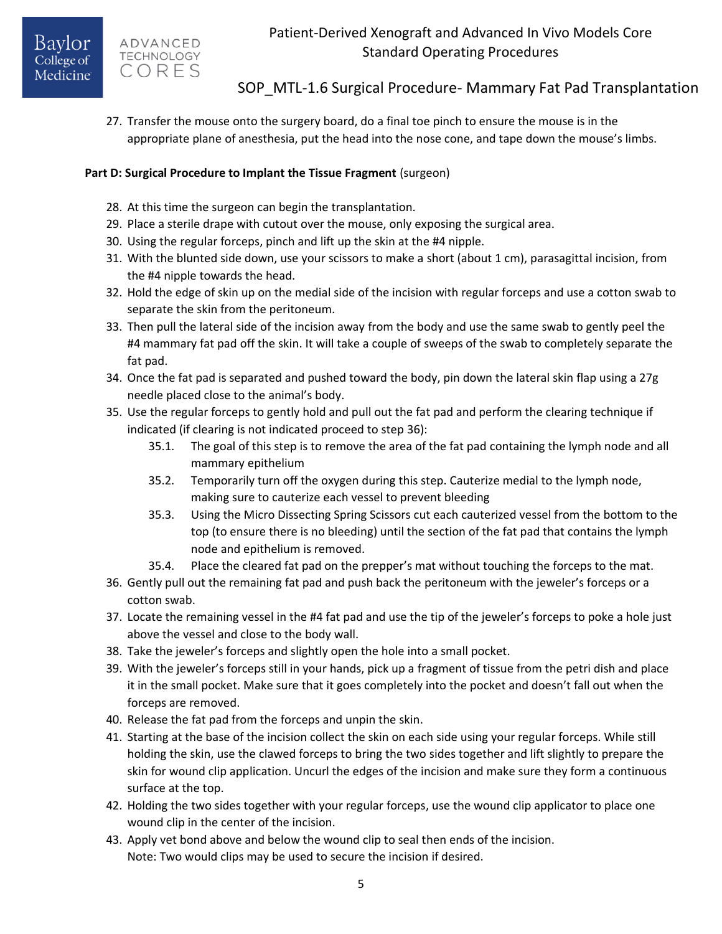SOP MTL-1.6 Surgical Procedure- Mammary Fat Pad Transplantation

27. Transfer the mouse onto the surgery board, do a final toe pinch to ensure the mouse is in the appropriate plane of anesthesia, put the head into the nose cone, and tape down the mouse's limbs.

### **Part D: Surgical Procedure to Implant the Tissue Fragment** (surgeon)

- 28. At this time the surgeon can begin the transplantation.
- 29. Place a sterile drape with cutout over the mouse, only exposing the surgical area.
- 30. Using the regular forceps, pinch and lift up the skin at the #4 nipple.
- 31. With the blunted side down, use your scissors to make a short (about 1 cm), parasagittal incision, from the #4 nipple towards the head.
- 32. Hold the edge of skin up on the medial side of the incision with regular forceps and use a cotton swab to separate the skin from the peritoneum.
- 33. Then pull the lateral side of the incision away from the body and use the same swab to gently peel the #4 mammary fat pad off the skin. It will take a couple of sweeps of the swab to completely separate the fat pad.
- 34. Once the fat pad is separated and pushed toward the body, pin down the lateral skin flap using a 27g needle placed close to the animal's body.
- 35. Use the regular forceps to gently hold and pull out the fat pad and perform the clearing technique if indicated (if clearing is not indicated proceed to step 36):
	- 35.1. The goal of this step is to remove the area of the fat pad containing the lymph node and all mammary epithelium
	- 35.2. Temporarily turn off the oxygen during this step. Cauterize medial to the lymph node, making sure to cauterize each vessel to prevent bleeding
	- 35.3. Using the Micro Dissecting Spring Scissors cut each cauterized vessel from the bottom to the top (to ensure there is no bleeding) until the section of the fat pad that contains the lymph node and epithelium is removed.
	- 35.4. Place the cleared fat pad on the prepper's mat without touching the forceps to the mat.
- 36. Gently pull out the remaining fat pad and push back the peritoneum with the jeweler's forceps or a cotton swab.
- 37. Locate the remaining vessel in the #4 fat pad and use the tip of the jeweler's forceps to poke a hole just above the vessel and close to the body wall.
- 38. Take the jeweler's forceps and slightly open the hole into a small pocket.
- 39. With the jeweler's forceps still in your hands, pick up a fragment of tissue from the petri dish and place it in the small pocket. Make sure that it goes completely into the pocket and doesn't fall out when the forceps are removed.
- 40. Release the fat pad from the forceps and unpin the skin.
- 41. Starting at the base of the incision collect the skin on each side using your regular forceps. While still holding the skin, use the clawed forceps to bring the two sides together and lift slightly to prepare the skin for wound clip application. Uncurl the edges of the incision and make sure they form a continuous surface at the top.
- 42. Holding the two sides together with your regular forceps, use the wound clip applicator to place one wound clip in the center of the incision.
- 43. Apply vet bond above and below the wound clip to seal then ends of the incision. Note: Two would clips may be used to secure the incision if desired.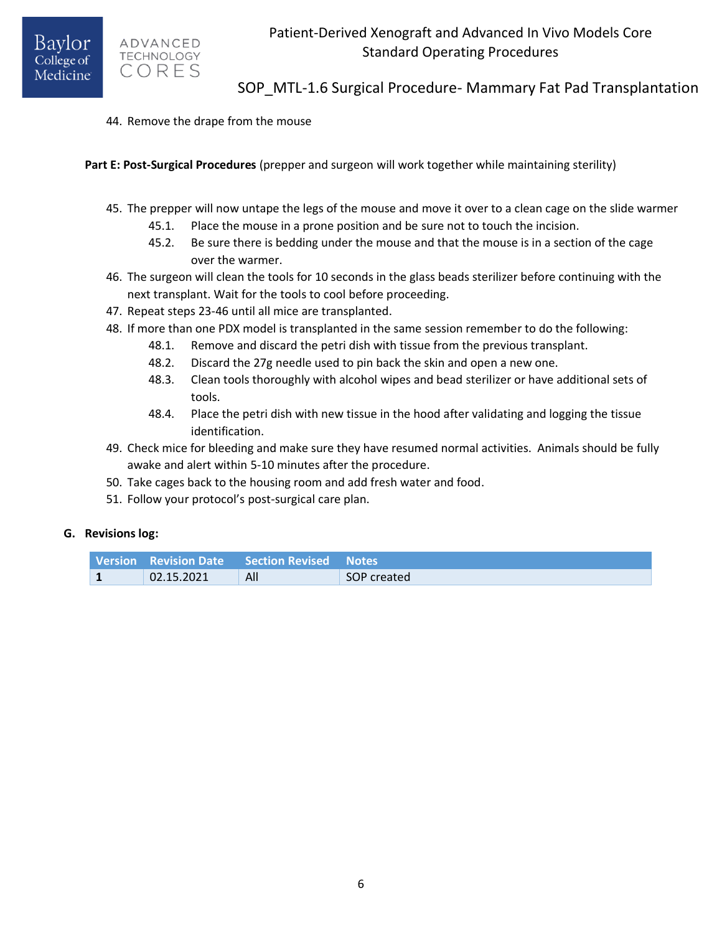ADVANCED **TECHNOLOGY** CORES

SOP MTL-1.6 Surgical Procedure- Mammary Fat Pad Transplantation

44. Remove the drape from the mouse

**Part E: Post-Surgical Procedures** (prepper and surgeon will work together while maintaining sterility)

- 45. The prepper will now untape the legs of the mouse and move it over to a clean cage on the slide warmer
	- 45.1. Place the mouse in a prone position and be sure not to touch the incision.
	- 45.2. Be sure there is bedding under the mouse and that the mouse is in a section of the cage over the warmer.
- 46. The surgeon will clean the tools for 10 seconds in the glass beads sterilizer before continuing with the next transplant. Wait for the tools to cool before proceeding.
- 47. Repeat steps 23-46 until all mice are transplanted.
- 48. If more than one PDX model is transplanted in the same session remember to do the following:
	- 48.1. Remove and discard the petri dish with tissue from the previous transplant.
	- 48.2. Discard the 27g needle used to pin back the skin and open a new one.
	- 48.3. Clean tools thoroughly with alcohol wipes and bead sterilizer or have additional sets of tools.
	- 48.4. Place the petri dish with new tissue in the hood after validating and logging the tissue identification.
- 49. Check mice for bleeding and make sure they have resumed normal activities. Animals should be fully awake and alert within 5-10 minutes after the procedure.
- 50. Take cages back to the housing room and add fresh water and food.
- 51. Follow your protocol's post-surgical care plan.

### **G. Revisions log:**

|            | <b>Version Revision Date Section Revised Notes</b> |             |
|------------|----------------------------------------------------|-------------|
| 02.15.2021 | All                                                | SOP created |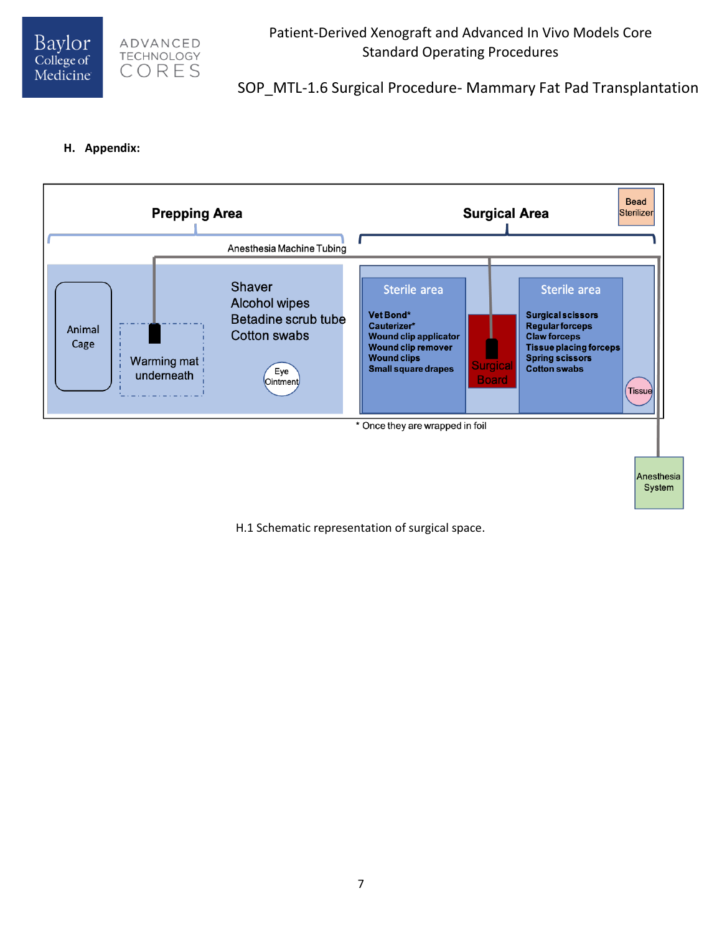



## SOP MTL-1.6 Surgical Procedure- Mammary Fat Pad Transplantation

#### **H. Appendix:**



H.1 Schematic representation of surgical space.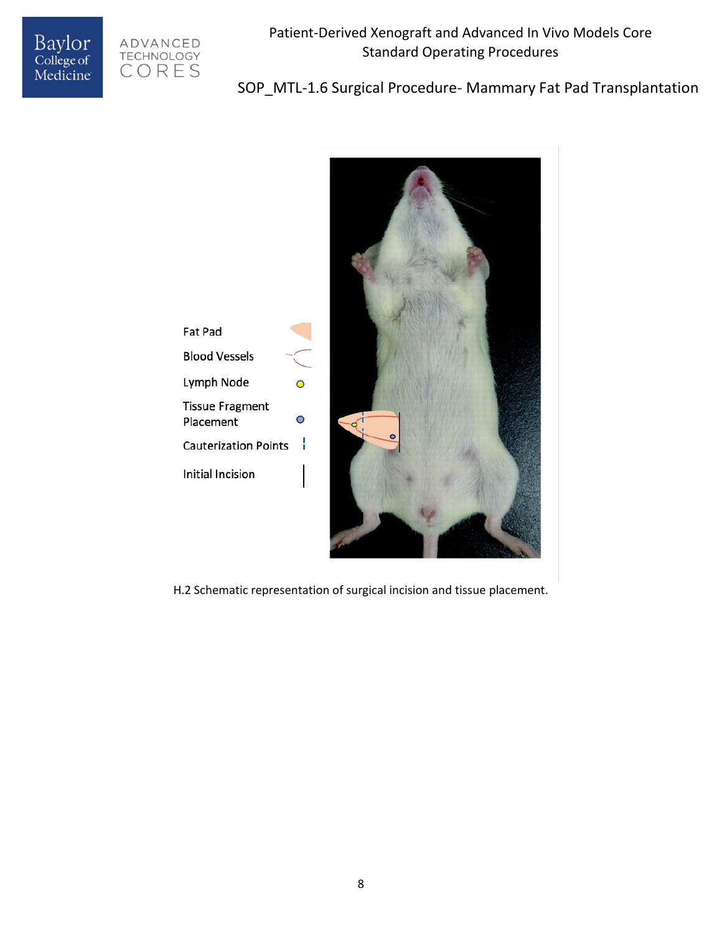



# SOP\_MTL-1.6 Surgical Procedure- Mammary Fat Pad Transplantation



H.2 Schematic representation of surgical incision and tissue placement.